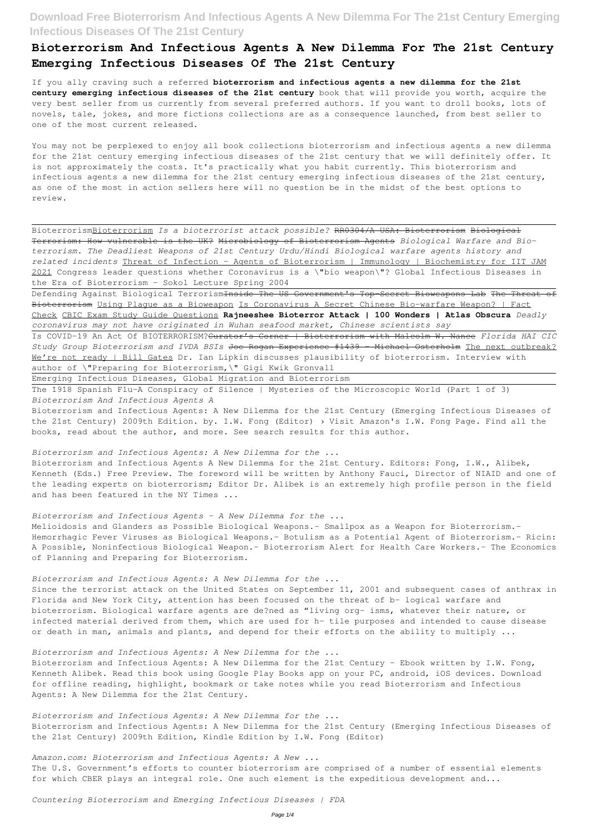## **Bioterrorism And Infectious Agents A New Dilemma For The 21st Century Emerging Infectious Diseases Of The 21st Century**

If you ally craving such a referred **bioterrorism and infectious agents a new dilemma for the 21st century emerging infectious diseases of the 21st century** book that will provide you worth, acquire the very best seller from us currently from several preferred authors. If you want to droll books, lots of novels, tale, jokes, and more fictions collections are as a consequence launched, from best seller to one of the most current released.

You may not be perplexed to enjoy all book collections bioterrorism and infectious agents a new dilemma for the 21st century emerging infectious diseases of the 21st century that we will definitely offer. It is not approximately the costs. It's practically what you habit currently. This bioterrorism and infectious agents a new dilemma for the 21st century emerging infectious diseases of the 21st century, as one of the most in action sellers here will no question be in the midst of the best options to review.

Defending Against Biological Terrorism<del>Inside The US Government's Top Secret Bioweapons Lab The Threat of</del> Bioterrorism Using Plague as a Bioweapon Is Coronavirus A Secret Chinese Bio-warfare Weapon? | Fact Check CBIC Exam Study Guide Questions **Rajneeshee Bioterror Attack | 100 Wonders | Atlas Obscura** *Deadly coronavirus may not have originated in Wuhan seafood market, Chinese scientists say*

BioterrorismBioterrorism *Is a bioterrorist attack possible?* RR0304/A USA: Bioterrorism Biological Terrorism: How vulnerable is the UK? Microbiology of Bioterrorism Agents *Biological Warfare and Bioterrorism. The Deadliest Weapons of 21st Century Urdu/Hindi Biological warfare agents history and related incidents* Threat of Infection - Agents of Bioterrorism | Immunology | Biochemistry for IIT JAM 2021 Congress leader questions whether Coronavirus is a \"bio weapon\"? Global Infectious Diseases in the Era of Bioterrorism - Sokol Lecture Spring 2004

Bioterrorism and Infectious Agents A New Dilemma for the 21st Century. Editors: Fong, I.W., Alibek, Kenneth (Eds.) Free Preview. The foreword will be written by Anthony Fauci, Director of NIAID and one of the leading experts on bioterrorism; Editor Dr. Alibek is an extremely high profile person in the field and has been featured in the NY Times ...

Is COVID-19 An Act Of BIOTERRORISM?Curator's Corner | Bioterrorism with Malcolm W. Nance *Florida HAI CIC Study Group Bioterrorism and IVDA BSIs* Joe Rogan Experience #1439 - Michael Osterholm The next outbreak? We're not ready | Bill Gates Dr. Ian Lipkin discusses plausibility of bioterrorism. Interview with author of \"Preparing for Bioterrorism,\" Gigi Kwik Gronvall

Bioterrorism and Infectious Agents: A New Dilemma for the 21st Century - Ebook written by I.W. Fong, Kenneth Alibek. Read this book using Google Play Books app on your PC, android, iOS devices. Download for offline reading, highlight, bookmark or take notes while you read Bioterrorism and Infectious Agents: A New Dilemma for the 21st Century.

Emerging Infectious Diseases, Global Migration and Bioterrorism

The 1918 Spanish Flu-A Conspiracy of Silence | Mysteries of the Microscopic World (Part 1 of 3) *Bioterrorism And Infectious Agents A*

Bioterrorism and Infectious Agents: A New Dilemma for the 21st Century (Emerging Infectious Diseases of the 21st Century) 2009th Edition. by. I.W. Fong (Editor) › Visit Amazon's I.W. Fong Page. Find all the books, read about the author, and more. See search results for this author.

*Bioterrorism and Infectious Agents: A New Dilemma for the ...*

### *Bioterrorism and Infectious Agents - A New Dilemma for the ...*

Melioidosis and Glanders as Possible Biological Weapons.- Smallpox as a Weapon for Bioterrorism.- Hemorrhagic Fever Viruses as Biological Weapons.- Botulism as a Potential Agent of Bioterrorism.- Ricin: A Possible, Noninfectious Biological Weapon.- Bioterrorism Alert for Health Care Workers.- The Economics of Planning and Preparing for Bioterrorism.

*Bioterrorism and Infectious Agents: A New Dilemma for the ...*

Since the terrorist attack on the United States on September 11, 2001 and subsequent cases of anthrax in Florida and New York City, attention has been focused on the threat of b- logical warfare and bioterrorism. Biological warfare agents are de?ned as "living org- isms, whatever their nature, or infected material derived from them, which are used for h- tile purposes and intended to cause disease or death in man, animals and plants, and depend for their efforts on the ability to multiply ...

*Bioterrorism and Infectious Agents: A New Dilemma for the ...*

*Bioterrorism and Infectious Agents: A New Dilemma for the ...* Bioterrorism and Infectious Agents: A New Dilemma for the 21st Century (Emerging Infectious Diseases of the 21st Century) 2009th Edition, Kindle Edition by I.W. Fong (Editor)

*Amazon.com: Bioterrorism and Infectious Agents: A New ...*

The U.S. Government's efforts to counter bioterrorism are comprised of a number of essential elements for which CBER plays an integral role. One such element is the expeditious development and...

*Countering Bioterrorism and Emerging Infectious Diseases | FDA*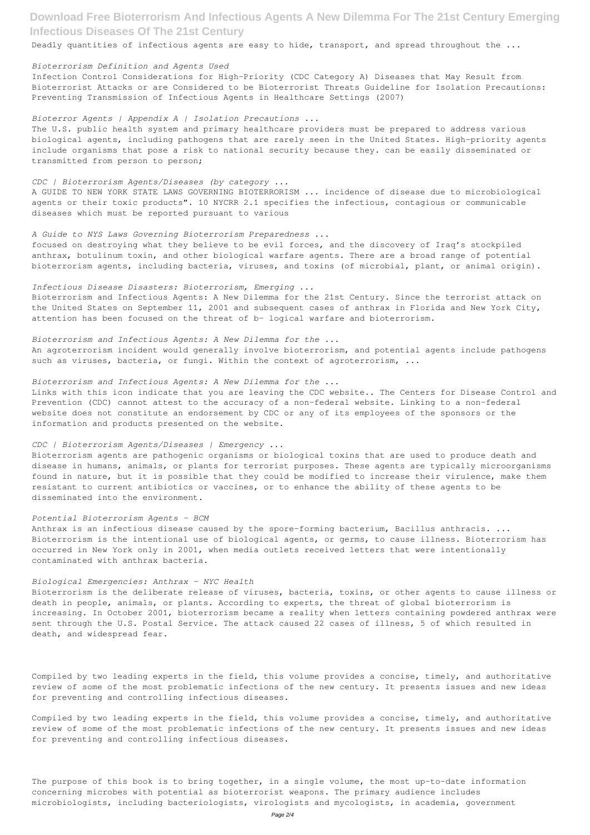Deadly quantities of infectious agents are easy to hide, transport, and spread throughout the ...

#### *Bioterrorism Definition and Agents Used*

Infection Control Considerations for High-Priority (CDC Category A) Diseases that May Result from Bioterrorist Attacks or are Considered to be Bioterrorist Threats Guideline for Isolation Precautions: Preventing Transmission of Infectious Agents in Healthcare Settings (2007)

### *Bioterror Agents | Appendix A | Isolation Precautions ...*

The U.S. public health system and primary healthcare providers must be prepared to address various biological agents, including pathogens that are rarely seen in the United States. High-priority agents include organisms that pose a risk to national security because they. can be easily disseminated or transmitted from person to person;

Bioterrorism and Infectious Agents: A New Dilemma for the 21st Century. Since the terrorist attack on the United States on September 11, 2001 and subsequent cases of anthrax in Florida and New York City, attention has been focused on the threat of b- logical warfare and bioterrorism.

### *CDC | Bioterrorism Agents/Diseases (by category ...*

An agroterrorism incident would generally involve bioterrorism, and potential agents include pathogens such as viruses, bacteria, or fungi. Within the context of agroterrorism, ...

A GUIDE TO NEW YORK STATE LAWS GOVERNING BIOTERRORISM ... incidence of disease due to microbiological agents or their toxic products". 10 NYCRR 2.1 specifies the infectious, contagious or communicable diseases which must be reported pursuant to various

#### *A Guide to NYS Laws Governing Bioterrorism Preparedness ...*

focused on destroying what they believe to be evil forces, and the discovery of Iraq's stockpiled anthrax, botulinum toxin, and other biological warfare agents. There are a broad range of potential bioterrorism agents, including bacteria, viruses, and toxins (of microbial, plant, or animal origin).

### *Infectious Disease Disasters: Bioterrorism, Emerging ...*

### *Bioterrorism and Infectious Agents: A New Dilemma for the ...*

### *Bioterrorism and Infectious Agents: A New Dilemma for the ...*

Links with this icon indicate that you are leaving the CDC website.. The Centers for Disease Control and Prevention (CDC) cannot attest to the accuracy of a non-federal website. Linking to a non-federal website does not constitute an endorsement by CDC or any of its employees of the sponsors or the information and products presented on the website.

#### *CDC | Bioterrorism Agents/Diseases | Emergency ...*

Bioterrorism agents are pathogenic organisms or biological toxins that are used to produce death and disease in humans, animals, or plants for terrorist purposes. These agents are typically microorganisms found in nature, but it is possible that they could be modified to increase their virulence, make them resistant to current antibiotics or vaccines, or to enhance the ability of these agents to be disseminated into the environment.

#### *Potential Bioterrorism Agents - BCM*

Anthrax is an infectious disease caused by the spore-forming bacterium, Bacillus anthracis. ... Bioterrorism is the intentional use of biological agents, or germs, to cause illness. Bioterrorism has occurred in New York only in 2001, when media outlets received letters that were intentionally contaminated with anthrax bacteria.

#### *Biological Emergencies: Anthrax - NYC Health*

Bioterrorism is the deliberate release of viruses, bacteria, toxins, or other agents to cause illness or death in people, animals, or plants. According to experts, the threat of global bioterrorism is increasing. In October 2001, bioterrorism became a reality when letters containing powdered anthrax were sent through the U.S. Postal Service. The attack caused 22 cases of illness, 5 of which resulted in

Compiled by two leading experts in the field, this volume provides a concise, timely, and authoritative review of some of the most problematic infections of the new century. It presents issues and new ideas for preventing and controlling infectious diseases.

Compiled by two leading experts in the field, this volume provides a concise, timely, and authoritative review of some of the most problematic infections of the new century. It presents issues and new ideas for preventing and controlling infectious diseases.

The purpose of this book is to bring together, in a single volume, the most up-to-date information concerning microbes with potential as bioterrorist weapons. The primary audience includes microbiologists, including bacteriologists, virologists and mycologists, in academia, government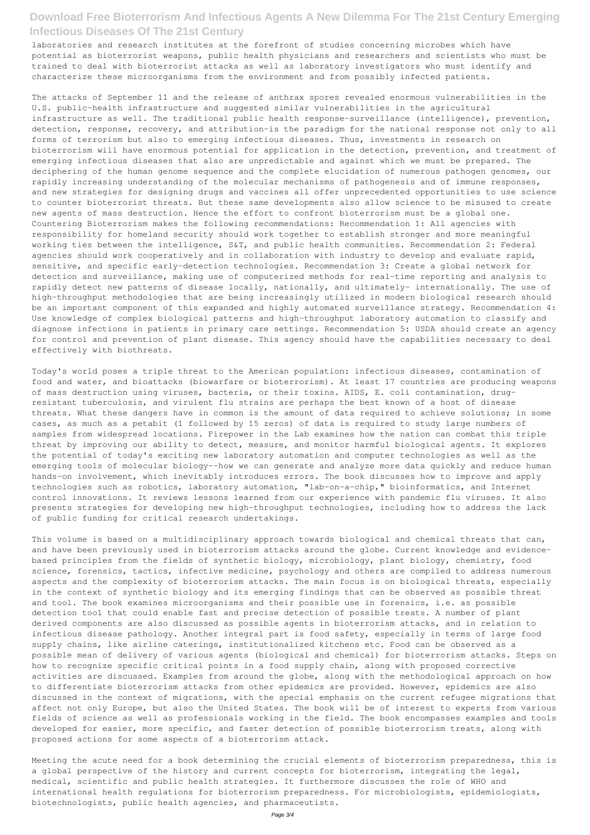laboratories and research institutes at the forefront of studies concerning microbes which have potential as bioterrorist weapons, public health physicians and researchers and scientists who must be trained to deal with bioterrorist attacks as well as laboratory investigators who must identify and characterize these microorganisms from the environment and from possibly infected patients.

The attacks of September 11 and the release of anthrax spores revealed enormous vulnerabilities in the U.S. public-health infrastructure and suggested similar vulnerabilities in the agricultural infrastructure as well. The traditional public health response-surveillance (intelligence), prevention, detection, response, recovery, and attribution-is the paradigm for the national response not only to all forms of terrorism but also to emerging infectious diseases. Thus, investments in research on bioterrorism will have enormous potential for application in the detection, prevention, and treatment of emerging infectious diseases that also are unpredictable and against which we must be prepared. The deciphering of the human genome sequence and the complete elucidation of numerous pathogen genomes, our rapidly increasing understanding of the molecular mechanisms of pathogenesis and of immune responses, and new strategies for designing drugs and vaccines all offer unprecedented opportunities to use science to counter bioterrorist threats. But these same developments also allow science to be misused to create new agents of mass destruction. Hence the effort to confront bioterrorism must be a global one. Countering Bioterrorism makes the following recommendations: Recommendation 1: All agencies with responsibility for homeland security should work together to establish stronger and more meaningful working ties between the intelligence, S&T, and public health communities. Recommendation 2: Federal agencies should work cooperatively and in collaboration with industry to develop and evaluate rapid, sensitive, and specific early-detection technologies. Recommendation 3: Create a global network for detection and surveillance, making use of computerized methods for real-time reporting and analysis to rapidly detect new patterns of disease locally, nationally, and ultimately- internationally. The use of high-throughput methodologies that are being increasingly utilized in modern biological research should be an important component of this expanded and highly automated surveillance strategy. Recommendation 4: Use knowledge of complex biological patterns and high-throughput laboratory automation to classify and diagnose infections in patients in primary care settings. Recommendation 5: USDA should create an agency for control and prevention of plant disease. This agency should have the capabilities necessary to deal effectively with biothreats.

Today's world poses a triple threat to the American population: infectious diseases, contamination of food and water, and bioattacks (biowarfare or bioterrorism). At least 17 countries are producing weapons of mass destruction using viruses, bacteria, or their toxins. AIDS, E. coli contamination, drugresistant tuberculosis, and virulent flu strains are perhaps the best known of a host of disease threats. What these dangers have in common is the amount of data required to achieve solutions; in some cases, as much as a petabit (1 followed by 15 zeros) of data is required to study large numbers of samples from widespread locations. Firepower in the Lab examines how the nation can combat this triple threat by improving our ability to detect, measure, and monitor harmful biological agents. It explores the potential of today's exciting new laboratory automation and computer technologies as well as the emerging tools of molecular biology--how we can generate and analyze more data quickly and reduce human hands-on involvement, which inevitably introduces errors. The book discusses how to improve and apply technologies such as robotics, laboratory automation, "lab-on-a-chip," bioinformatics, and Internet control innovations. It reviews lessons learned from our experience with pandemic flu viruses. It also presents strategies for developing new high-throughput technologies, including how to address the lack of public funding for critical research undertakings.

This volume is based on a multidisciplinary approach towards biological and chemical threats that can, and have been previously used in bioterrorism attacks around the globe. Current knowledge and evidencebased principles from the fields of synthetic biology, microbiology, plant biology, chemistry, food science, forensics, tactics, infective medicine, psychology and others are compiled to address numerous aspects and the complexity of bioterrorism attacks. The main focus is on biological threats, especially in the context of synthetic biology and its emerging findings that can be observed as possible threat and tool. The book examines microorganisms and their possible use in forensics, i.e. as possible detection tool that could enable fast and precise detection of possible treats. A number of plant derived components are also discussed as possible agents in bioterrorism attacks, and in relation to infectious disease pathology. Another integral part is food safety, especially in terms of large food supply chains, like airline caterings, institutionalized kitchens etc. Food can be observed as a possible mean of delivery of various agents (biological and chemical) for bioterrorism attacks. Steps on how to recognize specific critical points in a food supply chain, along with proposed corrective activities are discussed. Examples from around the globe, along with the methodological approach on how to differentiate bioterrorism attacks from other epidemics are provided. However, epidemics are also discussed in the context of migrations, with the special emphasis on the current refugee migrations that affect not only Europe, but also the United States. The book will be of interest to experts from various fields of science as well as professionals working in the field. The book encompasses examples and tools developed for easier, more specific, and faster detection of possible bioterrorism treats, along with proposed actions for some aspects of a bioterrorism attack.

Meeting the acute need for a book determining the crucial elements of bioterrorism preparedness, this is a global perspective of the history and current concepts for bioterrorism, integrating the legal, medical, scientific and public health strategies. It furthermore discusses the role of WHO and international health regulations for bioterrorism preparedness. For microbiologists, epidemiologists, biotechnologists, public health agencies, and pharmaceutists.